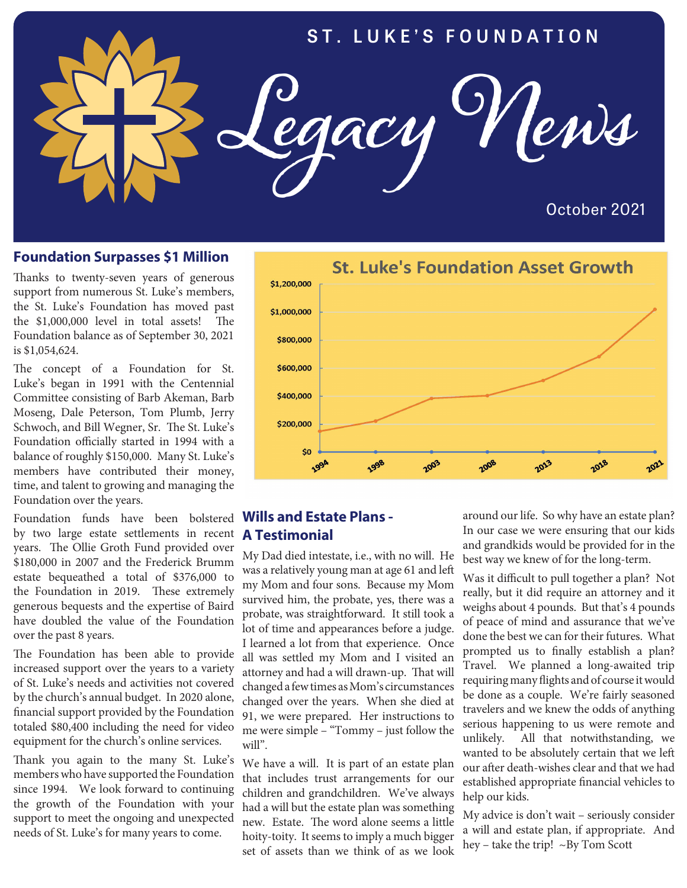

#### **Foundation Surpasses \$1 Million**

Thanks to twenty-seven years of generous support from numerous St. Luke's members, the St. Luke's Foundation has moved past the \$1,000,000 level in total assets! The Foundation balance as of September 30, 2021 is \$1,054,624.

The concept of a Foundation for St. Luke's began in 1991 with the Centennial Committee consisting of Barb Akeman, Barb Moseng, Dale Peterson, Tom Plumb, Jerry Schwoch, and Bill Wegner, Sr. The St. Luke's Foundation officially started in 1994 with a balance of roughly \$150,000. Many St. Luke's members have contributed their money, time, and talent to growing and managing the Foundation over the years.

Foundation funds have been bolstered by two large estate settlements in recent years. The Ollie Groth Fund provided over \$180,000 in 2007 and the Frederick Brumm estate bequeathed a total of \$376,000 to the Foundation in 2019. These extremely generous bequests and the expertise of Baird have doubled the value of the Foundation over the past 8 years.

The Foundation has been able to provide increased support over the years to a variety of St. Luke's needs and activities not covered by the church's annual budget. In 2020 alone, financial support provided by the Foundation totaled \$80,400 including the need for video equipment for the church's online services.

Thank you again to the many St. Luke's members who have supported the Foundation since 1994. We look forward to continuing the growth of the Foundation with your support to meet the ongoing and unexpected needs of St. Luke's for many years to come.



#### **Wills and Estate Plans - A Testimonial**

My Dad died intestate, i.e., with no will. He was a relatively young man at age 61 and left my Mom and four sons. Because my Mom survived him, the probate, yes, there was a probate, was straightforward. It still took a lot of time and appearances before a judge. I learned a lot from that experience. Once all was settled my Mom and I visited an attorney and had a will drawn-up. That will changed a few times as Mom's circumstances changed over the years. When she died at 91, we were prepared. Her instructions to me were simple – "Tommy – just follow the will".

We have a will. It is part of an estate plan that includes trust arrangements for our children and grandchildren. We've always had a will but the estate plan was something new. Estate. The word alone seems a little hoity-toity. It seems to imply a much bigger set of assets than we think of as we look

around our life. So why have an estate plan? In our case we were ensuring that our kids and grandkids would be provided for in the best way we knew of for the long-term.

Was it difficult to pull together a plan? Not really, but it did require an attorney and it weighs about 4 pounds. But that's 4 pounds of peace of mind and assurance that we've done the best we can for their futures. What prompted us to finally establish a plan? Travel. We planned a long-awaited trip requiring many flights and of course it would be done as a couple. We're fairly seasoned travelers and we knew the odds of anything serious happening to us were remote and unlikely. All that notwithstanding, we wanted to be absolutely certain that we left our after death-wishes clear and that we had established appropriate financial vehicles to help our kids.

My advice is don't wait – seriously consider a will and estate plan, if appropriate. And hey – take the trip! ~By Tom Scott